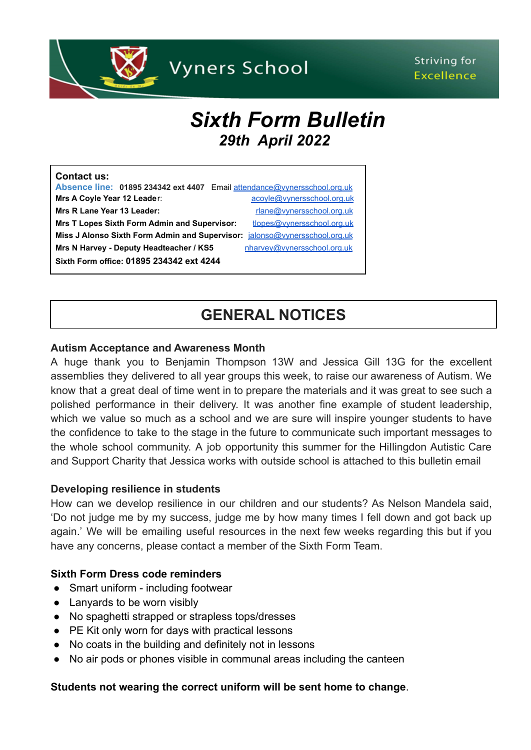

# Striving for **Excellence**

# *Sixth Form Bulletin 29th April 2022*

| <b>Contact us:</b>                                                         |                             |
|----------------------------------------------------------------------------|-----------------------------|
| Absence line: 01895 234342 ext 4407 Email attendance@vynersschool.org.uk   |                             |
| Mrs A Coyle Year 12 Leader:                                                | acoyle@vynersschool.org.uk  |
| Mrs R Lane Year 13 Leader:                                                 | rlane@vynersschool.org.uk   |
| <b>Mrs T Lopes Sixth Form Admin and Supervisor:</b>                        | tlopes@vynersschool.org.uk  |
| Miss J Alonso Sixth Form Admin and Supervisor: jalonso@vynersschool.org.uk |                             |
| Mrs N Harvey - Deputy Headteacher / KS5                                    | nharvey@vynersschool.org.uk |
| Sixth Form office: 01895 234342 ext 4244                                   |                             |

# **GENERAL NOTICES**

#### **Autism Acceptance and Awareness Month**

A huge thank you to Benjamin Thompson 13W and Jessica Gill 13G for the excellent assemblies they delivered to all year groups this week, to raise our awareness of Autism. We know that a great deal of time went in to prepare the materials and it was great to see such a polished performance in their delivery. It was another fine example of student leadership, which we value so much as a school and we are sure will inspire younger students to have the confidence to take to the stage in the future to communicate such important messages to the whole school community. A job opportunity this summer for the HiIlingdon Autistic Care and Support Charity that Jessica works with outside school is attached to this bulletin email

#### **Developing resilience in students**

How can we develop resilience in our children and our students? As Nelson Mandela said, 'Do not judge me by my success, judge me by how many times I fell down and got back up again.' We will be emailing useful resources in the next few weeks regarding this but if you have any concerns, please contact a member of the Sixth Form Team.

#### **Sixth Form Dress code reminders**

- Smart uniform including footwear
- Lanyards to be worn visibly
- No spaghetti strapped or strapless tops/dresses
- PE Kit only worn for days with practical lessons
- No coats in the building and definitely not in lessons
- No air pods or phones visible in communal areas including the canteen

#### **Students not wearing the correct uniform will be sent home to change**.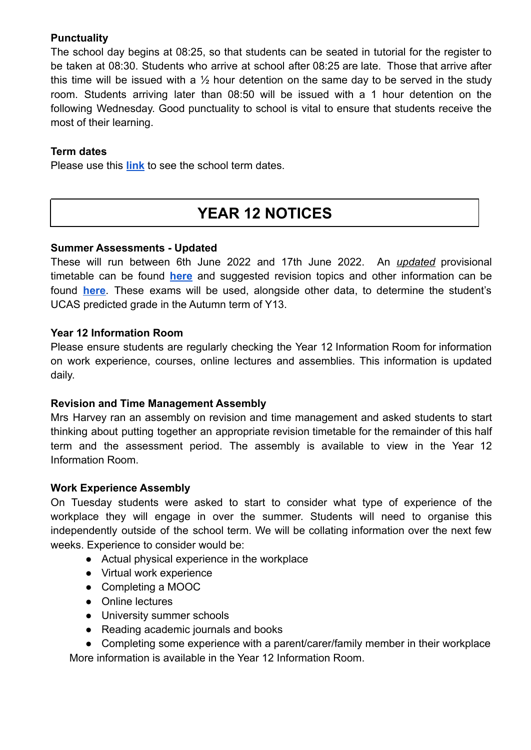# **Punctuality**

The school day begins at 08:25, so that students can be seated in tutorial for the register to be taken at 08:30. Students who arrive at school after 08:25 are late. Those that arrive after this time will be issued with a  $\frac{1}{2}$  hour detention on the same day to be served in the study room. Students arriving later than 08:50 will be issued with a 1 hour detention on the following Wednesday. Good punctuality to school is vital to ensure that students receive the most of their learning.

# **Term dates**

Please use this **[link](https://www.vynersschool.org.uk/page/?title=Term+Dates&pid=79)** to see the school term dates.

# **YEAR 12 NOTICES**

# **Summer Assessments - Updated**

These will run between 6th June 2022 and 17th June 2022. An *updated* provisional timetable can be found **[here](https://www.vynersschool.org.uk/_site/data/files/users/91/files/9812781C18E0FC28C187CC1A7ED30E78.pdf)** and suggested revision topics and other information can be found **[here](https://www.vynersschool.org.uk/_site/data/files/users/91/files/20408836C34454E9CF2F7E5C8A7A28D5.pdf)**. These exams will be used, alongside other data, to determine the student's UCAS predicted grade in the Autumn term of Y13.

# **Year 12 Information Room**

Please ensure students are regularly checking the Year 12 Information Room for information on work experience, courses, online lectures and assemblies. This information is updated daily.

# **Revision and Time Management Assembly**

Mrs Harvey ran an assembly on revision and time management and asked students to start thinking about putting together an appropriate revision timetable for the remainder of this half term and the assessment period. The assembly is available to view in the Year 12 Information Room.

# **Work Experience Assembly**

On Tuesday students were asked to start to consider what type of experience of the workplace they will engage in over the summer. Students will need to organise this independently outside of the school term. We will be collating information over the next few weeks. Experience to consider would be:

- Actual physical experience in the workplace
- Virtual work experience
- Completing a MOOC
- Online lectures
- University summer schools
- Reading academic journals and books
- Completing some experience with a parent/carer/family member in their workplace More information is available in the Year 12 Information Room.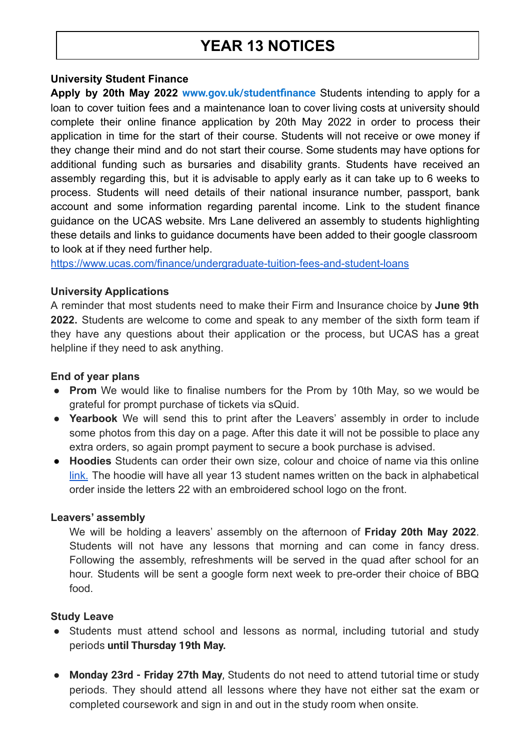# **YEAR 13 NOTICES**

#### **University Student Finance**

**Apply by 20th May 2022 [www.gov.uk/studentfinance](https://www.gov.uk/studentfinance)** Students intending to apply for a loan to cover tuition fees and a maintenance loan to cover living costs at university should complete their online finance application by 20th May 2022 in order to process their application in time for the start of their course. Students will not receive or owe money if they change their mind and do not start their course. Some students may have options for additional funding such as bursaries and disability grants. Students have received an assembly regarding this, but it is advisable to apply early as it can take up to 6 weeks to process. Students will need details of their national insurance number, passport, bank account and some information regarding parental income. Link to the student finance guidance on the UCAS website. Mrs Lane delivered an assembly to students highlighting these details and links to guidance documents have been added to their google classroom to look at if they need further help.

<https://www.ucas.com/finance/undergraduate-tuition-fees-and-student-loans>

#### **University Applications**

A reminder that most students need to make their Firm and Insurance choice by **June 9th 2022.** Students are welcome to come and speak to any member of the sixth form team if they have any questions about their application or the process, but UCAS has a great helpline if they need to ask anything.

#### **End of year plans**

- **Prom** We would like to finalise numbers for the Prom by 10th May, so we would be grateful for prompt purchase of tickets via sQuid.
- **Yearbook** We will send this to print after the Leavers' assembly in order to include some photos from this day on a page. After this date it will not be possible to place any extra orders, so again prompt payment to secure a book purchase is advised.
- **Hoodies** Students can order their own size, colour and choice of name via this online [link.](https://moxieleavers.co.uk/hoodie/7Q4VAt9DZxsRIefyB4Qk/89e68e3ac7af8e802ba11d57) The hoodie will have all year 13 student names written on the back in alphabetical order inside the letters 22 with an embroidered school logo on the front.

#### **Leavers' assembly**

We will be holding a leavers' assembly on the afternoon of **Friday 20th May 2022**. Students will not have any lessons that morning and can come in fancy dress. Following the assembly, refreshments will be served in the quad after school for an hour. Students will be sent a google form next week to pre-order their choice of BBQ food.

#### **Study Leave**

- Students must attend school and lessons as normal, including tutorial and study periods **until Thursday 19th May.**
- **Monday 23rd - Friday 27th May**, Students do not need to attend tutorial time or study periods. They should attend all lessons where they have not either sat the exam or completed coursework and sign in and out in the study room when onsite.